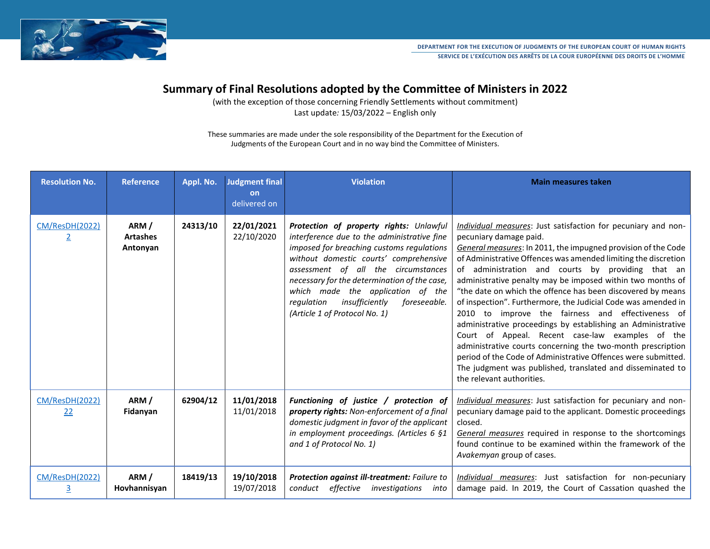

# **Summary of Final Resolutions adopted by the Committee of Ministers in 2022**

(with the exception of those concerning Friendly Settlements without commitment) Last update*:* 15/03/2022 – English only

These summaries are made under the sole responsibility of the Department for the Execution of Judgments of the European Court and in no way bind the Committee of Ministers.

| <b>Resolution No.</b>            | <b>Reference</b>                    | Appl. No. | <b>Judgment final</b><br>on<br>delivered on | <b>Violation</b>                                                                                                                                                                                                                                                                                                                                                                           | <b>Main measures taken</b>                                                                                                                                                                                                                                                                                                                                                                                                                                                                                                                                                                                                                                                                                                                                                                                                                                                        |
|----------------------------------|-------------------------------------|-----------|---------------------------------------------|--------------------------------------------------------------------------------------------------------------------------------------------------------------------------------------------------------------------------------------------------------------------------------------------------------------------------------------------------------------------------------------------|-----------------------------------------------------------------------------------------------------------------------------------------------------------------------------------------------------------------------------------------------------------------------------------------------------------------------------------------------------------------------------------------------------------------------------------------------------------------------------------------------------------------------------------------------------------------------------------------------------------------------------------------------------------------------------------------------------------------------------------------------------------------------------------------------------------------------------------------------------------------------------------|
| CM/ResDH(2022)<br>$\overline{2}$ | ARM/<br><b>Artashes</b><br>Antonyan | 24313/10  | 22/01/2021<br>22/10/2020                    | Protection of property rights: Unlawful<br>interference due to the administrative fine<br>imposed for breaching customs regulations<br>without domestic courts' comprehensive<br>assessment of all the circumstances<br>necessary for the determination of the case,<br>which made the application of the<br>insufficiently<br>regulation<br>foreseeable.<br>(Article 1 of Protocol No. 1) | Individual measures: Just satisfaction for pecuniary and non-<br>pecuniary damage paid.<br>General measures: In 2011, the impugned provision of the Code<br>of Administrative Offences was amended limiting the discretion<br>of administration and courts by providing that an<br>administrative penalty may be imposed within two months of<br>"the date on which the offence has been discovered by means<br>of inspection". Furthermore, the Judicial Code was amended in<br>2010 to improve the fairness and effectiveness of<br>administrative proceedings by establishing an Administrative<br>Court of Appeal. Recent case-law examples of the<br>administrative courts concerning the two-month prescription<br>period of the Code of Administrative Offences were submitted.<br>The judgment was published, translated and disseminated to<br>the relevant authorities. |
| CM/ResDH(2022)<br>22             | ARM/<br>Fidanyan                    | 62904/12  | 11/01/2018<br>11/01/2018                    | Functioning of justice / protection of<br>property rights: Non-enforcement of a final<br>domestic judgment in favor of the applicant<br>in employment proceedings. (Articles 6 §1<br>and 1 of Protocol No. 1)                                                                                                                                                                              | Individual measures: Just satisfaction for pecuniary and non-<br>pecuniary damage paid to the applicant. Domestic proceedings<br>closed.<br>General measures required in response to the shortcomings<br>found continue to be examined within the framework of the<br>Avakemyan group of cases.                                                                                                                                                                                                                                                                                                                                                                                                                                                                                                                                                                                   |
| CM/ResDH(2022)<br>3              | ARM/<br>Hovhannisyan                | 18419/13  | 19/10/2018<br>19/07/2018                    | Protection against ill-treatment: Failure to<br>conduct effective<br>investigations<br>into                                                                                                                                                                                                                                                                                                | Individual measures: Just satisfaction for non-pecuniary<br>damage paid. In 2019, the Court of Cassation quashed the                                                                                                                                                                                                                                                                                                                                                                                                                                                                                                                                                                                                                                                                                                                                                              |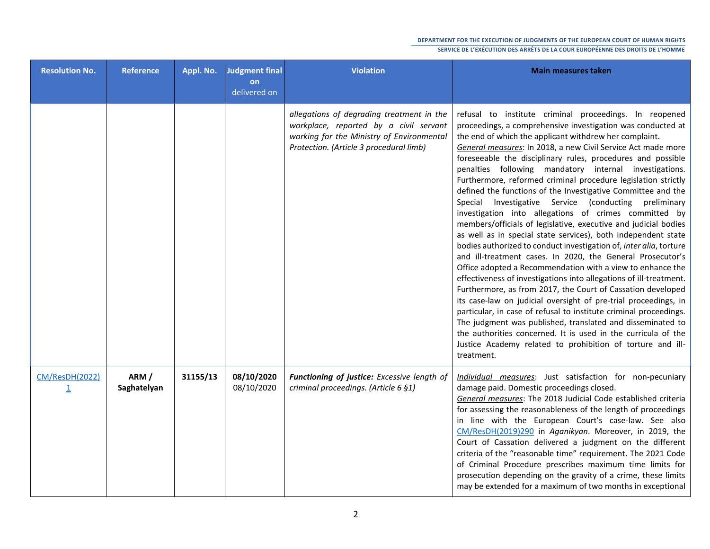| <b>Resolution No.</b>            | <b>Reference</b>    | Appl. No. | Judgment final<br>on<br>delivered on | <b>Violation</b>                                                                                                                                                            | <b>Main measures taken</b>                                                                                                                                                                                                                                                                                                                                                                                                                                                                                                                                                                                                                                                                                                                                                                                                                                                                                                                                                                                                                                                                                                                                                                                                                                                                                                                                                                                                                                |
|----------------------------------|---------------------|-----------|--------------------------------------|-----------------------------------------------------------------------------------------------------------------------------------------------------------------------------|-----------------------------------------------------------------------------------------------------------------------------------------------------------------------------------------------------------------------------------------------------------------------------------------------------------------------------------------------------------------------------------------------------------------------------------------------------------------------------------------------------------------------------------------------------------------------------------------------------------------------------------------------------------------------------------------------------------------------------------------------------------------------------------------------------------------------------------------------------------------------------------------------------------------------------------------------------------------------------------------------------------------------------------------------------------------------------------------------------------------------------------------------------------------------------------------------------------------------------------------------------------------------------------------------------------------------------------------------------------------------------------------------------------------------------------------------------------|
|                                  |                     |           |                                      | allegations of degrading treatment in the<br>workplace, reported by a civil servant<br>working for the Ministry of Environmental<br>Protection. (Article 3 procedural limb) | refusal to institute criminal proceedings. In reopened<br>proceedings, a comprehensive investigation was conducted at<br>the end of which the applicant withdrew her complaint.<br>General measures: In 2018, a new Civil Service Act made more<br>foreseeable the disciplinary rules, procedures and possible<br>penalties following mandatory internal investigations.<br>Furthermore, reformed criminal procedure legislation strictly<br>defined the functions of the Investigative Committee and the<br>Special Investigative Service (conducting preliminary<br>investigation into allegations of crimes committed by<br>members/officials of legislative, executive and judicial bodies<br>as well as in special state services), both independent state<br>bodies authorized to conduct investigation of, inter alia, torture<br>and ill-treatment cases. In 2020, the General Prosecutor's<br>Office adopted a Recommendation with a view to enhance the<br>effectiveness of investigations into allegations of ill-treatment.<br>Furthermore, as from 2017, the Court of Cassation developed<br>its case-law on judicial oversight of pre-trial proceedings, in<br>particular, in case of refusal to institute criminal proceedings.<br>The judgment was published, translated and disseminated to<br>the authorities concerned. It is used in the curricula of the<br>Justice Academy related to prohibition of torture and ill-<br>treatment. |
| CM/ResDH(2022)<br>$\overline{1}$ | ARM/<br>Saghatelyan | 31155/13  | 08/10/2020<br>08/10/2020             | Functioning of justice: Excessive length of<br>criminal proceedings. (Article 6 §1)                                                                                         | Individual measures: Just satisfaction for non-pecuniary<br>damage paid. Domestic proceedings closed.<br>General measures: The 2018 Judicial Code established criteria<br>for assessing the reasonableness of the length of proceedings<br>in line with the European Court's case-law. See also<br>CM/ResDH(2019)290 in Aganikyan. Moreover, in 2019, the<br>Court of Cassation delivered a judgment on the different<br>criteria of the "reasonable time" requirement. The 2021 Code<br>of Criminal Procedure prescribes maximum time limits for<br>prosecution depending on the gravity of a crime, these limits<br>may be extended for a maximum of two months in exceptional                                                                                                                                                                                                                                                                                                                                                                                                                                                                                                                                                                                                                                                                                                                                                                          |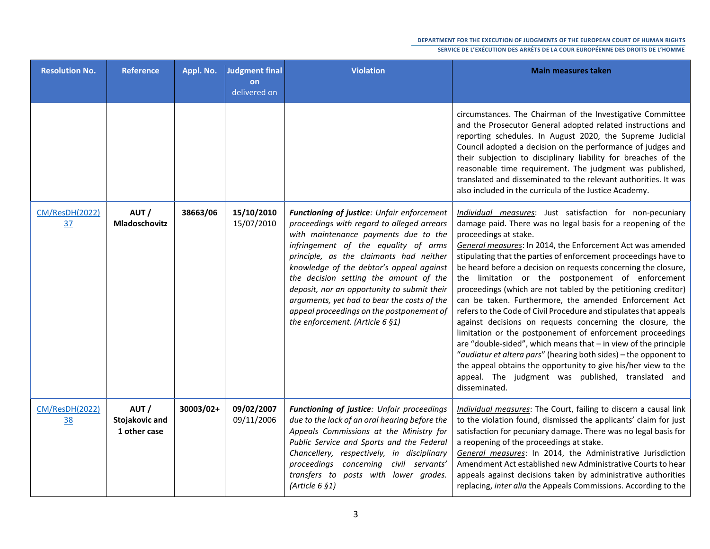| <b>Resolution No.</b>              | <b>Reference</b>                       | Appl. No. | <b>Judgment final</b><br>on<br>delivered on | <b>Violation</b>                                                                                                                                                                                                                                                                                                                                                                                                                                                                        | <b>Main measures taken</b>                                                                                                                                                                                                                                                                                                                                                                                                                                                                                                                                                                                                                                                                                                                                                                                                                                                                                                                                                                                           |
|------------------------------------|----------------------------------------|-----------|---------------------------------------------|-----------------------------------------------------------------------------------------------------------------------------------------------------------------------------------------------------------------------------------------------------------------------------------------------------------------------------------------------------------------------------------------------------------------------------------------------------------------------------------------|----------------------------------------------------------------------------------------------------------------------------------------------------------------------------------------------------------------------------------------------------------------------------------------------------------------------------------------------------------------------------------------------------------------------------------------------------------------------------------------------------------------------------------------------------------------------------------------------------------------------------------------------------------------------------------------------------------------------------------------------------------------------------------------------------------------------------------------------------------------------------------------------------------------------------------------------------------------------------------------------------------------------|
|                                    |                                        |           |                                             |                                                                                                                                                                                                                                                                                                                                                                                                                                                                                         | circumstances. The Chairman of the Investigative Committee<br>and the Prosecutor General adopted related instructions and<br>reporting schedules. In August 2020, the Supreme Judicial<br>Council adopted a decision on the performance of judges and<br>their subjection to disciplinary liability for breaches of the<br>reasonable time requirement. The judgment was published,<br>translated and disseminated to the relevant authorities. It was<br>also included in the curricula of the Justice Academy.                                                                                                                                                                                                                                                                                                                                                                                                                                                                                                     |
| <b>CM/ResDH(2022)</b><br><u>37</u> | AUT/<br>Mladoschovitz                  | 38663/06  | 15/10/2010<br>15/07/2010                    | Functioning of justice: Unfair enforcement<br>proceedings with regard to alleged arrears<br>with maintenance payments due to the<br>infringement of the equality of arms<br>principle, as the claimants had neither<br>knowledge of the debtor's appeal against<br>the decision setting the amount of the<br>deposit, nor an opportunity to submit their<br>arguments, yet had to bear the costs of the<br>appeal proceedings on the postponement of<br>the enforcement. (Article 6 §1) | Individual measures: Just satisfaction for non-pecuniary<br>damage paid. There was no legal basis for a reopening of the<br>proceedings at stake.<br>General measures: In 2014, the Enforcement Act was amended<br>stipulating that the parties of enforcement proceedings have to<br>be heard before a decision on requests concerning the closure,<br>the limitation or the postponement of enforcement<br>proceedings (which are not tabled by the petitioning creditor)<br>can be taken. Furthermore, the amended Enforcement Act<br>refers to the Code of Civil Procedure and stipulates that appeals<br>against decisions on requests concerning the closure, the<br>limitation or the postponement of enforcement proceedings<br>are "double-sided", which means that - in view of the principle<br>"audiatur et altera pars" (hearing both sides) - the opponent to<br>the appeal obtains the opportunity to give his/her view to the<br>appeal. The judgment was published, translated and<br>disseminated. |
| CM/ResDH(2022)<br><u>38</u>        | AUT/<br>Stojakovic and<br>1 other case | 30003/02+ | 09/02/2007<br>09/11/2006                    | Functioning of justice: Unfair proceedings<br>due to the lack of an oral hearing before the<br>Appeals Commissions at the Ministry for<br>Public Service and Sports and the Federal<br>Chancellery, respectively, in disciplinary<br>proceedings concerning civil servants'<br>transfers to posts with lower grades.<br>(Article $6 \, 91$ )                                                                                                                                            | Individual measures: The Court, failing to discern a causal link<br>to the violation found, dismissed the applicants' claim for just<br>satisfaction for pecuniary damage. There was no legal basis for<br>a reopening of the proceedings at stake.<br>General measures: In 2014, the Administrative Jurisdiction<br>Amendment Act established new Administrative Courts to hear<br>appeals against decisions taken by administrative authorities<br>replacing, inter alia the Appeals Commissions. According to the                                                                                                                                                                                                                                                                                                                                                                                                                                                                                                 |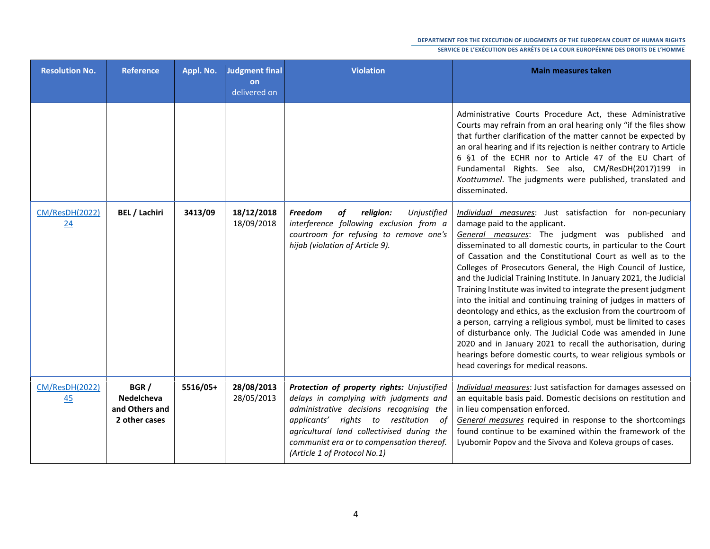| <b>Resolution No.</b> | <b>Reference</b>                                      | Appl. No. | <b>Judgment final</b><br><b>on</b><br>delivered on | <b>Violation</b>                                                                                                                                                                                                                                                                                    | <b>Main measures taken</b>                                                                                                                                                                                                                                                                                                                                                                                                                                                                                                                                                                                                                                                                                                                                                                                                                                                                                                                 |
|-----------------------|-------------------------------------------------------|-----------|----------------------------------------------------|-----------------------------------------------------------------------------------------------------------------------------------------------------------------------------------------------------------------------------------------------------------------------------------------------------|--------------------------------------------------------------------------------------------------------------------------------------------------------------------------------------------------------------------------------------------------------------------------------------------------------------------------------------------------------------------------------------------------------------------------------------------------------------------------------------------------------------------------------------------------------------------------------------------------------------------------------------------------------------------------------------------------------------------------------------------------------------------------------------------------------------------------------------------------------------------------------------------------------------------------------------------|
|                       |                                                       |           |                                                    |                                                                                                                                                                                                                                                                                                     | Administrative Courts Procedure Act, these Administrative<br>Courts may refrain from an oral hearing only "if the files show<br>that further clarification of the matter cannot be expected by<br>an oral hearing and if its rejection is neither contrary to Article<br>6 §1 of the ECHR nor to Article 47 of the EU Chart of<br>Fundamental Rights. See also, CM/ResDH(2017)199 in<br>Koottummel. The judgments were published, translated and<br>disseminated.                                                                                                                                                                                                                                                                                                                                                                                                                                                                          |
| CM/ResDH(2022)<br>24  | <b>BEL / Lachiri</b>                                  | 3413/09   | 18/12/2018<br>18/09/2018                           | of<br>religion:<br>Unjustified<br><b>Freedom</b><br>interference following exclusion from a<br>courtroom for refusing to remove one's<br>hijab (violation of Article 9).                                                                                                                            | Individual measures: Just satisfaction for non-pecuniary<br>damage paid to the applicant.<br>General measures: The judgment was published and<br>disseminated to all domestic courts, in particular to the Court  <br>of Cassation and the Constitutional Court as well as to the<br>Colleges of Prosecutors General, the High Council of Justice,<br>and the Judicial Training Institute. In January 2021, the Judicial<br>Training Institute was invited to integrate the present judgment<br>into the initial and continuing training of judges in matters of<br>deontology and ethics, as the exclusion from the courtroom of<br>a person, carrying a religious symbol, must be limited to cases<br>of disturbance only. The Judicial Code was amended in June<br>2020 and in January 2021 to recall the authorisation, during<br>hearings before domestic courts, to wear religious symbols or<br>head coverings for medical reasons. |
| CM/ResDH(2022)<br>45  | BGR/<br>Nedelcheva<br>and Others and<br>2 other cases | 5516/05+  | 28/08/2013<br>28/05/2013                           | Protection of property rights: Unjustified<br>delays in complying with judgments and<br>administrative decisions recognising the<br>applicants' rights to restitution of<br>agricultural land collectivised during the<br>communist era or to compensation thereof.<br>(Article 1 of Protocol No.1) | Individual measures: Just satisfaction for damages assessed on<br>an equitable basis paid. Domestic decisions on restitution and<br>in lieu compensation enforced.<br>General measures required in response to the shortcomings<br>found continue to be examined within the framework of the<br>Lyubomir Popov and the Sivova and Koleva groups of cases.                                                                                                                                                                                                                                                                                                                                                                                                                                                                                                                                                                                  |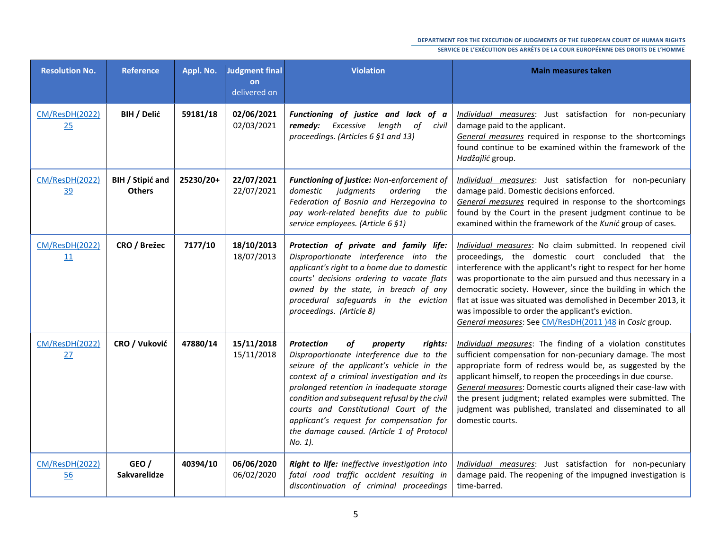| <b>Resolution No.</b>       | <b>Reference</b>                  | Appl. No. | <b>Judgment final</b><br>on<br>delivered on | <b>Violation</b>                                                                                                                                                                                                                                                                                                                                                                                                                   | <b>Main measures taken</b>                                                                                                                                                                                                                                                                                                                                                                                                                                                                           |
|-----------------------------|-----------------------------------|-----------|---------------------------------------------|------------------------------------------------------------------------------------------------------------------------------------------------------------------------------------------------------------------------------------------------------------------------------------------------------------------------------------------------------------------------------------------------------------------------------------|------------------------------------------------------------------------------------------------------------------------------------------------------------------------------------------------------------------------------------------------------------------------------------------------------------------------------------------------------------------------------------------------------------------------------------------------------------------------------------------------------|
| <b>CM/ResDH(2022)</b><br>25 | BIH / Delić                       | 59181/18  | 02/06/2021<br>02/03/2021                    | Functioning of justice and lack of a<br>remedy: Excessive length<br>of<br>civil<br>proceedings. (Articles 6 §1 and 13)                                                                                                                                                                                                                                                                                                             | Individual measures: Just satisfaction for non-pecuniary<br>damage paid to the applicant.<br>General measures required in response to the shortcomings<br>found continue to be examined within the framework of the<br>Hadžajlić group.                                                                                                                                                                                                                                                              |
| CM/ResDH(2022)<br>39        | BIH / Stipić and<br><b>Others</b> | 25230/20+ | 22/07/2021<br>22/07/2021                    | Functioning of justice: Non-enforcement of<br>domestic<br>judgments<br>ordering<br>the<br>Federation of Bosnia and Herzegovina to<br>pay work-related benefits due to public<br>service employees. (Article 6 §1)                                                                                                                                                                                                                  | Individual measures: Just satisfaction for non-pecuniary<br>damage paid. Domestic decisions enforced.<br>General measures required in response to the shortcomings<br>found by the Court in the present judgment continue to be<br>examined within the framework of the Kunić group of cases.                                                                                                                                                                                                        |
| <b>CM/ResDH(2022)</b><br>11 | CRO / Brežec                      | 7177/10   | 18/10/2013<br>18/07/2013                    | Protection of private and family life:<br>Disproportionate interference into the<br>applicant's right to a home due to domestic<br>courts' decisions ordering to vacate flats<br>owned by the state, in breach of any<br>procedural safeguards in the eviction<br>proceedings. (Article 8)                                                                                                                                         | Individual measures: No claim submitted. In reopened civil<br>proceedings, the domestic court concluded that the<br>interference with the applicant's right to respect for her home<br>was proportionate to the aim pursued and thus necessary in a<br>democratic society. However, since the building in which the<br>flat at issue was situated was demolished in December 2013, it<br>was impossible to order the applicant's eviction.<br>General measures: See CM/ResDH(2011)48 in Cosic group. |
| CM/ResDH(2022)<br>27        | CRO / Vuković                     | 47880/14  | 15/11/2018<br>15/11/2018                    | <b>Protection</b><br>of<br>property<br>rights:<br>Disproportionate interference due to the<br>seizure of the applicant's vehicle in the<br>context of a criminal investigation and its<br>prolonged retention in inadequate storage<br>condition and subsequent refusal by the civil<br>courts and Constitutional Court of the<br>applicant's request for compensation for<br>the damage caused. (Article 1 of Protocol<br>No. 1). | Individual measures: The finding of a violation constitutes<br>sufficient compensation for non-pecuniary damage. The most<br>appropriate form of redress would be, as suggested by the<br>applicant himself, to reopen the proceedings in due course.<br>General measures: Domestic courts aligned their case-law with<br>the present judgment; related examples were submitted. The<br>judgment was published, translated and disseminated to all<br>domestic courts.                               |
| <b>CM/ResDH(2022)</b><br>56 | GEO /<br><b>Sakvarelidze</b>      | 40394/10  | 06/06/2020<br>06/02/2020                    | Right to life: Ineffective investigation into<br>fatal road traffic accident resulting in<br>discontinuation of criminal proceedings                                                                                                                                                                                                                                                                                               | Individual measures: Just satisfaction for non-pecuniary<br>damage paid. The reopening of the impugned investigation is<br>time-barred.                                                                                                                                                                                                                                                                                                                                                              |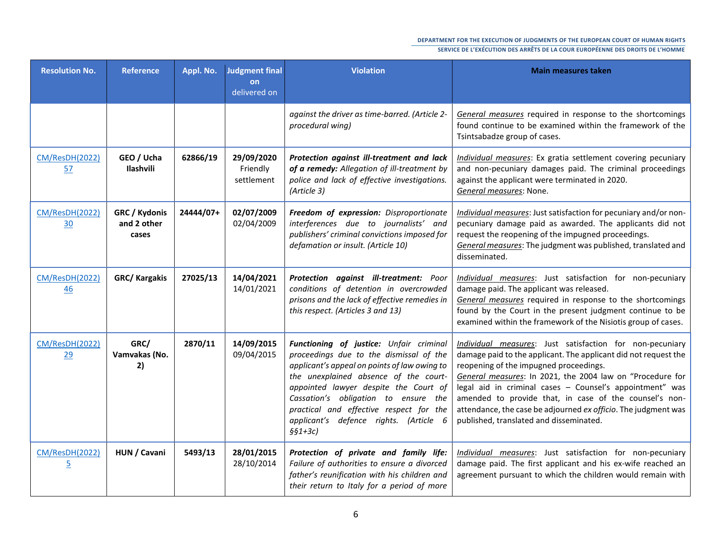| <b>Resolution No.</b>                   | <b>Reference</b>                      | Appl. No. | <b>Judgment final</b><br>on<br>delivered on | <b>Violation</b>                                                                                                                                                                                                                                                                                                                                               | <b>Main measures taken</b>                                                                                                                                                                                                                                                                                                                                                                                                                                            |
|-----------------------------------------|---------------------------------------|-----------|---------------------------------------------|----------------------------------------------------------------------------------------------------------------------------------------------------------------------------------------------------------------------------------------------------------------------------------------------------------------------------------------------------------------|-----------------------------------------------------------------------------------------------------------------------------------------------------------------------------------------------------------------------------------------------------------------------------------------------------------------------------------------------------------------------------------------------------------------------------------------------------------------------|
|                                         |                                       |           |                                             | against the driver as time-barred. (Article 2-<br>procedural wing)                                                                                                                                                                                                                                                                                             | General measures required in response to the shortcomings<br>found continue to be examined within the framework of the<br>Tsintsabadze group of cases.                                                                                                                                                                                                                                                                                                                |
| <b>CM/ResDH(2022)</b><br>57             | GEO / Ucha<br>Ilashvili               | 62866/19  | 29/09/2020<br>Friendly<br>settlement        | Protection against ill-treatment and lack<br>of a remedy: Allegation of ill-treatment by<br>police and lack of effective investigations.<br>(Article 3)                                                                                                                                                                                                        | Individual measures: Ex gratia settlement covering pecuniary<br>and non-pecuniary damages paid. The criminal proceedings<br>against the applicant were terminated in 2020.<br>General measures: None.                                                                                                                                                                                                                                                                 |
| CM/ResDH(2022)<br>30                    | GRC / Kydonis<br>and 2 other<br>cases | 24444/07+ | 02/07/2009<br>02/04/2009                    | Freedom of expression: Disproportionate<br>interferences due to journalists' and<br>publishers' criminal convictions imposed for<br>defamation or insult. (Article 10)                                                                                                                                                                                         | Individual measures: Just satisfaction for pecuniary and/or non-<br>pecuniary damage paid as awarded. The applicants did not<br>request the reopening of the impugned proceedings.<br>General measures: The judgment was published, translated and<br>disseminated.                                                                                                                                                                                                   |
| CM/ResDH(2022)<br>46                    | <b>GRC/ Kargakis</b>                  | 27025/13  | 14/04/2021<br>14/01/2021                    | Protection against ill-treatment: Poor<br>conditions of detention in overcrowded<br>prisons and the lack of effective remedies in<br>this respect. (Articles 3 and 13)                                                                                                                                                                                         | Individual measures: Just satisfaction for non-pecuniary<br>damage paid. The applicant was released.<br>General measures required in response to the shortcomings<br>found by the Court in the present judgment continue to be<br>examined within the framework of the Nisiotis group of cases.                                                                                                                                                                       |
| <b>CM/ResDH(2022)</b><br>29             | GRC/<br>Vamvakas (No.<br>2)           | 2870/11   | 14/09/2015<br>09/04/2015                    | Functioning of justice: Unfair criminal<br>proceedings due to the dismissal of the<br>applicant's appeal on points of law owing to<br>the unexplained absence of the court-<br>appointed lawyer despite the Court of<br>Cassation's obligation to ensure the<br>practical and effective respect for the<br>applicant's defence rights. (Article 6<br>$§§1+3c)$ | Individual measures: Just satisfaction for non-pecuniary<br>damage paid to the applicant. The applicant did not request the<br>reopening of the impugned proceedings.<br>General measures: In 2021, the 2004 law on "Procedure for<br>legal aid in criminal cases - Counsel's appointment" was<br>amended to provide that, in case of the counsel's non-<br>attendance, the case be adjourned ex officio. The judgment was<br>published, translated and disseminated. |
| <b>CM/ResDH(2022)</b><br>$\overline{5}$ | HUN / Cavani                          | 5493/13   | 28/01/2015<br>28/10/2014                    | Protection of private and family life:<br>Failure of authorities to ensure a divorced<br>father's reunification with his children and<br>their return to Italy for a period of more                                                                                                                                                                            | Individual measures: Just satisfaction for non-pecuniary<br>damage paid. The first applicant and his ex-wife reached an<br>agreement pursuant to which the children would remain with                                                                                                                                                                                                                                                                                 |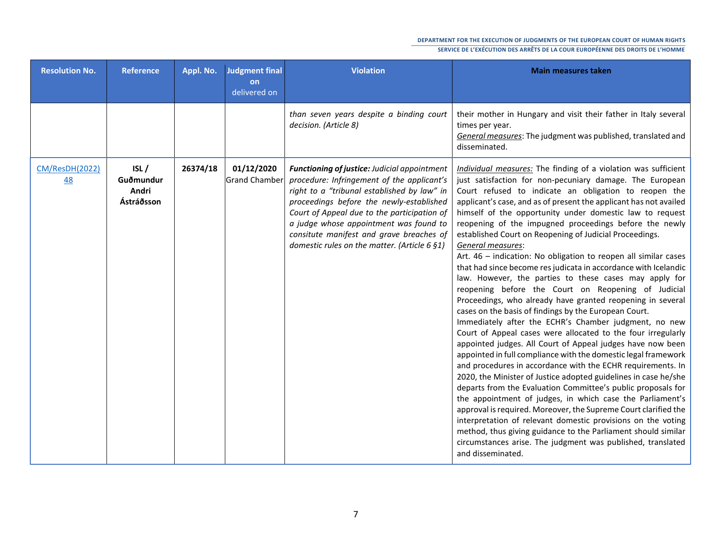| <b>Resolution No.</b>              | <b>Reference</b>                         | Appl. No. | <b>Judgment final</b><br>on<br>delivered on | <b>Violation</b>                                                                                                                                                                                                                                                                                                                                                                  | <b>Main measures taken</b>                                                                                                                                                                                                                                                                                                                                                                                                                                                                                                                                                                                                                                                                                                                                                                                                                                                                                                                                                                                                                                                                                                                                                                                                                                                                                                                                                                                                                                                                                                                                                                                                                                   |
|------------------------------------|------------------------------------------|-----------|---------------------------------------------|-----------------------------------------------------------------------------------------------------------------------------------------------------------------------------------------------------------------------------------------------------------------------------------------------------------------------------------------------------------------------------------|--------------------------------------------------------------------------------------------------------------------------------------------------------------------------------------------------------------------------------------------------------------------------------------------------------------------------------------------------------------------------------------------------------------------------------------------------------------------------------------------------------------------------------------------------------------------------------------------------------------------------------------------------------------------------------------------------------------------------------------------------------------------------------------------------------------------------------------------------------------------------------------------------------------------------------------------------------------------------------------------------------------------------------------------------------------------------------------------------------------------------------------------------------------------------------------------------------------------------------------------------------------------------------------------------------------------------------------------------------------------------------------------------------------------------------------------------------------------------------------------------------------------------------------------------------------------------------------------------------------------------------------------------------------|
|                                    |                                          |           |                                             | than seven years despite a binding court<br>decision. (Article 8)                                                                                                                                                                                                                                                                                                                 | their mother in Hungary and visit their father in Italy several<br>times per year.<br>General measures: The judgment was published, translated and<br>disseminated.                                                                                                                                                                                                                                                                                                                                                                                                                                                                                                                                                                                                                                                                                                                                                                                                                                                                                                                                                                                                                                                                                                                                                                                                                                                                                                                                                                                                                                                                                          |
| <b>CM/ResDH(2022)</b><br><u>48</u> | ISL/<br>Guðmundur<br>Andri<br>Ástráðsson | 26374/18  | 01/12/2020<br><b>Grand Chamber</b>          | <b>Functioning of justice: Judicial appointment</b><br>procedure: Infringement of the applicant's<br>right to a "tribunal established by law" in<br>proceedings before the newly-established<br>Court of Appeal due to the participation of<br>a judge whose appointment was found to<br>consitute manifest and grave breaches of<br>domestic rules on the matter. (Article 6 §1) | Individual measures: The finding of a violation was sufficient<br>just satisfaction for non-pecuniary damage. The European<br>Court refused to indicate an obligation to reopen the<br>applicant's case, and as of present the applicant has not availed<br>himself of the opportunity under domestic law to request<br>reopening of the impugned proceedings before the newly<br>established Court on Reopening of Judicial Proceedings.<br>General measures:<br>Art. 46 - indication: No obligation to reopen all similar cases<br>that had since become res judicata in accordance with Icelandic<br>law. However, the parties to these cases may apply for<br>reopening before the Court on Reopening of Judicial<br>Proceedings, who already have granted reopening in several<br>cases on the basis of findings by the European Court.<br>Immediately after the ECHR's Chamber judgment, no new<br>Court of Appeal cases were allocated to the four irregularly<br>appointed judges. All Court of Appeal judges have now been<br>appointed in full compliance with the domestic legal framework<br>and procedures in accordance with the ECHR requirements. In<br>2020, the Minister of Justice adopted guidelines in case he/she<br>departs from the Evaluation Committee's public proposals for<br>the appointment of judges, in which case the Parliament's<br>approval is required. Moreover, the Supreme Court clarified the<br>interpretation of relevant domestic provisions on the voting<br>method, thus giving guidance to the Parliament should similar<br>circumstances arise. The judgment was published, translated<br>and disseminated. |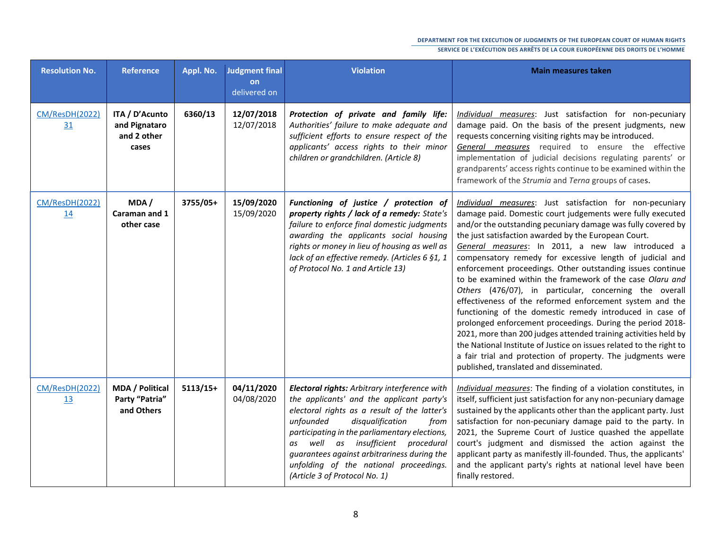| <b>Resolution No.</b>       | <b>Reference</b>                                        | Appl. No.  | Judgment final<br>on<br>delivered on | <b>Violation</b>                                                                                                                                                                                                                                                                                                                                                                                     | <b>Main measures taken</b>                                                                                                                                                                                                                                                                                                                                                                                                                                                                                                                                                                                                                                                                                                                                                                                                                                                                                                                                                                     |
|-----------------------------|---------------------------------------------------------|------------|--------------------------------------|------------------------------------------------------------------------------------------------------------------------------------------------------------------------------------------------------------------------------------------------------------------------------------------------------------------------------------------------------------------------------------------------------|------------------------------------------------------------------------------------------------------------------------------------------------------------------------------------------------------------------------------------------------------------------------------------------------------------------------------------------------------------------------------------------------------------------------------------------------------------------------------------------------------------------------------------------------------------------------------------------------------------------------------------------------------------------------------------------------------------------------------------------------------------------------------------------------------------------------------------------------------------------------------------------------------------------------------------------------------------------------------------------------|
| CM/ResDH(2022)<br>31        | ITA / D'Acunto<br>and Pignataro<br>and 2 other<br>cases | 6360/13    | 12/07/2018<br>12/07/2018             | Protection of private and family life:<br>Authorities' failure to make adequate and<br>sufficient efforts to ensure respect of the<br>applicants' access rights to their minor<br>children or grandchildren. (Article 8)                                                                                                                                                                             | Individual measures: Just satisfaction for non-pecuniary<br>damage paid. On the basis of the present judgments, new<br>requests concerning visiting rights may be introduced.<br>General measures required to ensure the effective<br>implementation of judicial decisions regulating parents' or<br>grandparents' access rights continue to be examined within the<br>framework of the Strumia and Terna groups of cases.                                                                                                                                                                                                                                                                                                                                                                                                                                                                                                                                                                     |
| <b>CM/ResDH(2022)</b><br>14 | MDA/<br>Caraman and 1<br>other case                     | 3755/05+   | 15/09/2020<br>15/09/2020             | Functioning of justice / protection of<br>property rights / lack of a remedy: State's<br>failure to enforce final domestic judgments<br>awarding the applicants social housing<br>rights or money in lieu of housing as well as<br>lack of an effective remedy. (Articles 6 §1, 1<br>of Protocol No. 1 and Article 13)                                                                               | Individual measures: Just satisfaction for non-pecuniary<br>damage paid. Domestic court judgements were fully executed<br>and/or the outstanding pecuniary damage was fully covered by<br>the just satisfaction awarded by the European Court.<br>General measures: In 2011, a new law introduced a<br>compensatory remedy for excessive length of judicial and<br>enforcement proceedings. Other outstanding issues continue<br>to be examined within the framework of the case Olaru and<br>Others (476/07), in particular, concerning the overall<br>effectiveness of the reformed enforcement system and the<br>functioning of the domestic remedy introduced in case of<br>prolonged enforcement proceedings. During the period 2018-<br>2021, more than 200 judges attended training activities held by<br>the National Institute of Justice on issues related to the right to<br>a fair trial and protection of property. The judgments were<br>published, translated and disseminated. |
| CM/ResDH(2022)<br><u>13</u> | <b>MDA / Political</b><br>Party "Patria"<br>and Others  | $5113/15+$ | 04/11/2020<br>04/08/2020             | Electoral rights: Arbitrary interference with<br>the applicants' and the applicant party's<br>electoral rights as a result of the latter's<br>unfounded<br>disqualification<br>from<br>participating in the parliamentary elections,<br>as well as insufficient procedural<br>guarantees against arbitrariness during the<br>unfolding of the national proceedings.<br>(Article 3 of Protocol No. 1) | Individual measures: The finding of a violation constitutes, in<br>itself, sufficient just satisfaction for any non-pecuniary damage<br>sustained by the applicants other than the applicant party. Just<br>satisfaction for non-pecuniary damage paid to the party. In<br>2021, the Supreme Court of Justice quashed the appellate<br>court's judgment and dismissed the action against the<br>applicant party as manifestly ill-founded. Thus, the applicants'<br>and the applicant party's rights at national level have been<br>finally restored.                                                                                                                                                                                                                                                                                                                                                                                                                                          |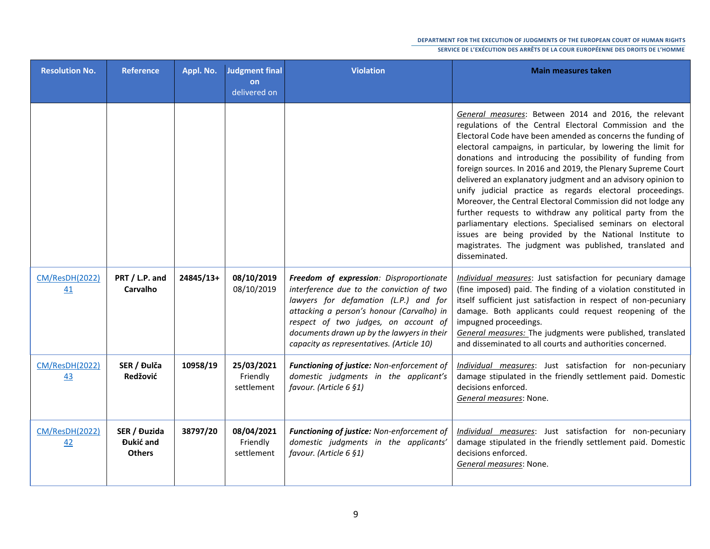| <b>Resolution No.</b>       | Reference                                  | Appl. No. | Judgment final<br>on<br>delivered on | <b>Violation</b>                                                                                                                                                                                                                                                                                              | <b>Main measures taken</b>                                                                                                                                                                                                                                                                                                                                                                                                                                                                                                                                                                                                                                                                                                                                                                                                                  |
|-----------------------------|--------------------------------------------|-----------|--------------------------------------|---------------------------------------------------------------------------------------------------------------------------------------------------------------------------------------------------------------------------------------------------------------------------------------------------------------|---------------------------------------------------------------------------------------------------------------------------------------------------------------------------------------------------------------------------------------------------------------------------------------------------------------------------------------------------------------------------------------------------------------------------------------------------------------------------------------------------------------------------------------------------------------------------------------------------------------------------------------------------------------------------------------------------------------------------------------------------------------------------------------------------------------------------------------------|
|                             |                                            |           |                                      |                                                                                                                                                                                                                                                                                                               | General measures: Between 2014 and 2016, the relevant<br>regulations of the Central Electoral Commission and the<br>Electoral Code have been amended as concerns the funding of<br>electoral campaigns, in particular, by lowering the limit for<br>donations and introducing the possibility of funding from<br>foreign sources. In 2016 and 2019, the Plenary Supreme Court<br>delivered an explanatory judgment and an advisory opinion to<br>unify judicial practice as regards electoral proceedings.<br>Moreover, the Central Electoral Commission did not lodge any<br>further requests to withdraw any political party from the<br>parliamentary elections. Specialised seminars on electoral<br>issues are being provided by the National Institute to<br>magistrates. The judgment was published, translated and<br>disseminated. |
| <b>CM/ResDH(2022)</b><br>41 | PRT / L.P. and<br>Carvalho                 | 24845/13+ | 08/10/2019<br>08/10/2019             | Freedom of expression: Disproportionate<br>interference due to the conviction of two<br>lawyers for defamation (L.P.) and for<br>attacking a person's honour (Carvalho) in<br>respect of two judges, on account of<br>documents drawn up by the lawyers in their<br>capacity as representatives. (Article 10) | Individual measures: Just satisfaction for pecuniary damage<br>(fine imposed) paid. The finding of a violation constituted in<br>itself sufficient just satisfaction in respect of non-pecuniary<br>damage. Both applicants could request reopening of the<br>impugned proceedings.<br>General measures: The judgments were published, translated<br>and disseminated to all courts and authorities concerned.                                                                                                                                                                                                                                                                                                                                                                                                                              |
| <b>CM/ResDH(2022)</b><br>43 | SER / Đulča<br>Redžović                    | 10958/19  | 25/03/2021<br>Friendly<br>settlement | Functioning of justice: Non-enforcement of<br>domestic judgments in the applicant's<br>favour. (Article 6 §1)                                                                                                                                                                                                 | Individual measures: Just satisfaction for non-pecuniary<br>damage stipulated in the friendly settlement paid. Domestic<br>decisions enforced.<br>General measures: None.                                                                                                                                                                                                                                                                                                                                                                                                                                                                                                                                                                                                                                                                   |
| CM/ResDH(2022)<br>42        | SER / Đuzida<br>Đukić and<br><b>Others</b> | 38797/20  | 08/04/2021<br>Friendly<br>settlement | Functioning of justice: Non-enforcement of<br>domestic judgments in the applicants'<br>favour. (Article 6 §1)                                                                                                                                                                                                 | Individual measures: Just satisfaction for non-pecuniary<br>damage stipulated in the friendly settlement paid. Domestic<br>decisions enforced.<br>General measures: None.                                                                                                                                                                                                                                                                                                                                                                                                                                                                                                                                                                                                                                                                   |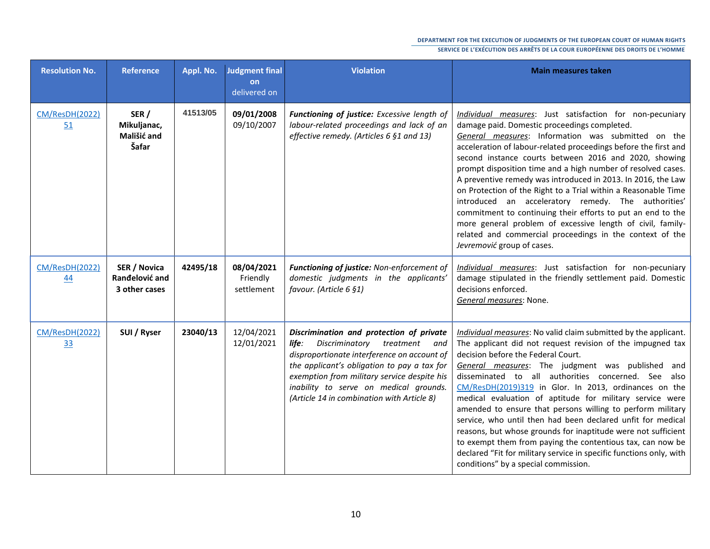| <b>Resolution No.</b>       | <b>Reference</b>                                | Appl. No. | Judgment final<br>on<br>delivered on | <b>Violation</b>                                                                                                                                                                                                                                                                                                       | <b>Main measures taken</b>                                                                                                                                                                                                                                                                                                                                                                                                                                                                                                                                                                                                                                                                                                                                                     |
|-----------------------------|-------------------------------------------------|-----------|--------------------------------------|------------------------------------------------------------------------------------------------------------------------------------------------------------------------------------------------------------------------------------------------------------------------------------------------------------------------|--------------------------------------------------------------------------------------------------------------------------------------------------------------------------------------------------------------------------------------------------------------------------------------------------------------------------------------------------------------------------------------------------------------------------------------------------------------------------------------------------------------------------------------------------------------------------------------------------------------------------------------------------------------------------------------------------------------------------------------------------------------------------------|
| CM/ResDH(2022)<br>51        | SER /<br>Mikuljanac,<br>Mališić and<br>Šafar    | 41513/05  | 09/01/2008<br>09/10/2007             | Functioning of justice: Excessive length of<br>labour-related proceedings and lack of an<br>effective remedy. (Articles 6 §1 and 13)                                                                                                                                                                                   | Individual measures: Just satisfaction for non-pecuniary<br>damage paid. Domestic proceedings completed.<br>General measures: Information was submitted on the<br>acceleration of labour-related proceedings before the first and<br>second instance courts between 2016 and 2020, showing<br>prompt disposition time and a high number of resolved cases.<br>A preventive remedy was introduced in 2013. In 2016, the Law<br>on Protection of the Right to a Trial within a Reasonable Time<br>introduced an acceleratory remedy. The authorities'<br>commitment to continuing their efforts to put an end to the<br>more general problem of excessive length of civil, family-<br>related and commercial proceedings in the context of the<br>Jevremović group of cases.     |
| CM/ResDH(2022)<br>44        | SER / Novica<br>Ranđelović and<br>3 other cases | 42495/18  | 08/04/2021<br>Friendly<br>settlement | Functioning of justice: Non-enforcement of<br>domestic judgments in the applicants'<br>favour. (Article 6 §1)                                                                                                                                                                                                          | Individual measures: Just satisfaction for non-pecuniary<br>damage stipulated in the friendly settlement paid. Domestic<br>decisions enforced.<br>General measures: None.                                                                                                                                                                                                                                                                                                                                                                                                                                                                                                                                                                                                      |
| <b>CM/ResDH(2022)</b><br>33 | SUI / Ryser                                     | 23040/13  | 12/04/2021<br>12/01/2021             | Discrimination and protection of private<br>Discriminatory treatment and<br>life:<br>disproportionate interference on account of<br>the applicant's obligation to pay a tax for<br>exemption from military service despite his<br>inability to serve on medical grounds.<br>(Article 14 in combination with Article 8) | Individual measures: No valid claim submitted by the applicant.<br>The applicant did not request revision of the impugned tax<br>decision before the Federal Court.<br>General measures: The judgment was published and<br>disseminated to all authorities concerned. See also<br>CM/ResDH(2019)319 in Glor. In 2013, ordinances on the<br>medical evaluation of aptitude for military service were<br>amended to ensure that persons willing to perform military<br>service, who until then had been declared unfit for medical<br>reasons, but whose grounds for inaptitude were not sufficient<br>to exempt them from paying the contentious tax, can now be<br>declared "Fit for military service in specific functions only, with<br>conditions" by a special commission. |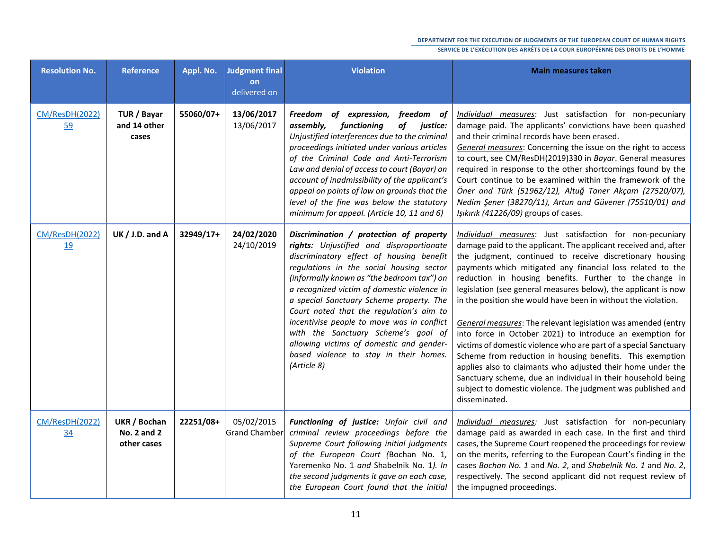| <b>Resolution No.</b>       | <b>Reference</b>                           | Appl. No. | <b>Judgment final</b><br>on<br>delivered on | <b>Violation</b>                                                                                                                                                                                                                                                                                                                                                                                                                                                                                                                                           | <b>Main measures taken</b>                                                                                                                                                                                                                                                                                                                                                                                                                                                                                                                                                                                                                                                                                                                                                                                                                                                                                                         |
|-----------------------------|--------------------------------------------|-----------|---------------------------------------------|------------------------------------------------------------------------------------------------------------------------------------------------------------------------------------------------------------------------------------------------------------------------------------------------------------------------------------------------------------------------------------------------------------------------------------------------------------------------------------------------------------------------------------------------------------|------------------------------------------------------------------------------------------------------------------------------------------------------------------------------------------------------------------------------------------------------------------------------------------------------------------------------------------------------------------------------------------------------------------------------------------------------------------------------------------------------------------------------------------------------------------------------------------------------------------------------------------------------------------------------------------------------------------------------------------------------------------------------------------------------------------------------------------------------------------------------------------------------------------------------------|
| CM/ResDH(2022)<br>59        | TUR / Bayar<br>and 14 other<br>cases       | 55060/07+ | 13/06/2017<br>13/06/2017                    | Freedom of expression, freedom of<br>assembly,<br>functioning<br>of justice:<br>Unjustified interferences due to the criminal<br>proceedings initiated under various articles<br>of the Criminal Code and Anti-Terrorism<br>Law and denial of access to court (Bayar) on<br>account of inadmissibility of the applicant's<br>appeal on points of law on grounds that the<br>level of the fine was below the statutory<br>minimum for appeal. (Article 10, 11 and 6)                                                                                        | Individual measures: Just satisfaction for non-pecuniary<br>damage paid. The applicants' convictions have been quashed<br>and their criminal records have been erased.<br>General measures: Concerning the issue on the right to access<br>to court, see CM/ResDH(2019)330 in Bayar. General measures<br>required in response to the other shortcomings found by the<br>Court continue to be examined within the framework of the<br>Öner and Türk (51962/12), Altuğ Taner Akçam (27520/07),<br>Nedim Şener (38270/11), Artun and Güvener (75510/01) and<br>Işıkırık (41226/09) groups of cases.                                                                                                                                                                                                                                                                                                                                   |
| CM/ResDH(2022)<br><u>19</u> | UK $/$ J.D. and A                          | 32949/17+ | 24/02/2020<br>24/10/2019                    | Discrimination / protection of property<br>rights: Unjustified and disproportionate<br>discriminatory effect of housing benefit<br>regulations in the social housing sector<br>(informally known as "the bedroom tax") on<br>a recognized victim of domestic violence in<br>a special Sanctuary Scheme property. The<br>Court noted that the regulation's aim to<br>incentivise people to move was in conflict<br>with the Sanctuary Scheme's goal of<br>allowing victims of domestic and gender-<br>based violence to stay in their homes.<br>(Article 8) | Individual measures: Just satisfaction for non-pecuniary<br>damage paid to the applicant. The applicant received and, after<br>the judgment, continued to receive discretionary housing<br>payments which mitigated any financial loss related to the<br>reduction in housing benefits. Further to the change in<br>legislation (see general measures below), the applicant is now<br>in the position she would have been in without the violation.<br>General measures: The relevant legislation was amended (entry<br>into force in October 2021) to introduce an exemption for<br>victims of domestic violence who are part of a special Sanctuary<br>Scheme from reduction in housing benefits. This exemption<br>applies also to claimants who adjusted their home under the<br>Sanctuary scheme, due an individual in their household being<br>subject to domestic violence. The judgment was published and<br>disseminated. |
| CM/ResDH(2022)<br>34        | UKR / Bochan<br>No. 2 and 2<br>other cases | 22251/08+ | 05/02/2015<br>Grand Chamber                 | Functioning of justice: Unfair civil and<br>criminal review proceedings before the<br>Supreme Court following initial judgments<br>of the European Court (Bochan No. 1,<br>Yaremenko No. 1 and Shabelnik No. 1). In<br>the second judgments it gave on each case,<br>the European Court found that the initial                                                                                                                                                                                                                                             | Individual measures: Just satisfaction for non-pecuniary<br>damage paid as awarded in each case. In the first and third<br>cases, the Supreme Court reopened the proceedings for review<br>on the merits, referring to the European Court's finding in the<br>cases Bochan No. 1 and No. 2, and Shabelnik No. 1 and No. 2,<br>respectively. The second applicant did not request review of<br>the impugned proceedings.                                                                                                                                                                                                                                                                                                                                                                                                                                                                                                            |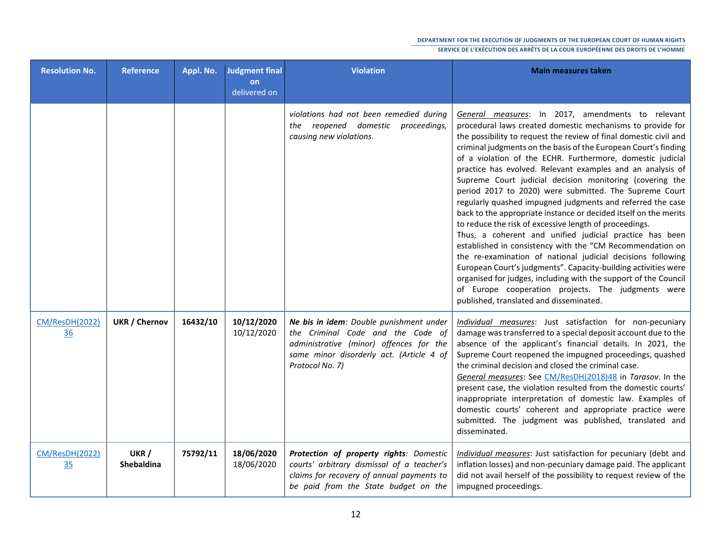| <b>Resolution No.</b>       | <b>Reference</b>           | Appl. No. | Judgment final<br>on<br>delivered on | <b>Violation</b>                                                                                                                                                                       | <b>Main measures taken</b>                                                                                                                                                                                                                                                                                                                                                                                                                                                                                                                                                                                                                                                                                                                                                                                                                                                                                                                                                                                                                                                                                                         |
|-----------------------------|----------------------------|-----------|--------------------------------------|----------------------------------------------------------------------------------------------------------------------------------------------------------------------------------------|------------------------------------------------------------------------------------------------------------------------------------------------------------------------------------------------------------------------------------------------------------------------------------------------------------------------------------------------------------------------------------------------------------------------------------------------------------------------------------------------------------------------------------------------------------------------------------------------------------------------------------------------------------------------------------------------------------------------------------------------------------------------------------------------------------------------------------------------------------------------------------------------------------------------------------------------------------------------------------------------------------------------------------------------------------------------------------------------------------------------------------|
|                             |                            |           |                                      | violations had not been remedied during<br>the reopened domestic<br>proceedings,<br>causing new violations.                                                                            | General measures: In 2017, amendments to relevant<br>procedural laws created domestic mechanisms to provide for<br>the possibility to request the review of final domestic civil and<br>criminal judgments on the basis of the European Court's finding<br>of a violation of the ECHR. Furthermore, domestic judicial<br>practice has evolved. Relevant examples and an analysis of<br>Supreme Court judicial decision monitoring (covering the<br>period 2017 to 2020) were submitted. The Supreme Court<br>regularly quashed impugned judgments and referred the case<br>back to the appropriate instance or decided itself on the merits<br>to reduce the risk of excessive length of proceedings.<br>Thus, a coherent and unified judicial practice has been<br>established in consistency with the "CM Recommendation on<br>the re-examination of national judicial decisions following<br>European Court's judgments". Capacity-building activities were<br>organised for judges, including with the support of the Council<br>of Europe cooperation projects. The judgments were<br>published, translated and disseminated. |
| <b>CM/ResDH(2022)</b><br>36 | <b>UKR / Chernov</b>       | 16432/10  | 10/12/2020<br>10/12/2020             | Ne bis in idem: Double punishment under<br>the Criminal Code and the Code of<br>administrative (minor) offences for the<br>same minor disorderly act. (Article 4 of<br>Protocol No. 7) | Individual measures: Just satisfaction for non-pecuniary<br>damage was transferred to a special deposit account due to the<br>absence of the applicant's financial details. In 2021, the<br>Supreme Court reopened the impugned proceedings, quashed<br>the criminal decision and closed the criminal case.<br>General measures: See CM/ResDH(2018)48 in Tarasov. In the<br>present case, the violation resulted from the domestic courts'<br>inappropriate interpretation of domestic law. Examples of<br>domestic courts' coherent and appropriate practice were<br>submitted. The judgment was published, translated and<br>disseminated.                                                                                                                                                                                                                                                                                                                                                                                                                                                                                       |
| CM/ResDH(2022)<br>35        | UKR /<br><b>Shebaldina</b> | 75792/11  | 18/06/2020<br>18/06/2020             | Protection of property rights: Domestic<br>courts' arbitrary dismissal of a teacher's<br>claims for recovery of annual payments to<br>be paid from the State budget on the             | Individual measures: Just satisfaction for pecuniary (debt and<br>inflation losses) and non-pecuniary damage paid. The applicant<br>did not avail herself of the possibility to request review of the<br>impugned proceedings.                                                                                                                                                                                                                                                                                                                                                                                                                                                                                                                                                                                                                                                                                                                                                                                                                                                                                                     |